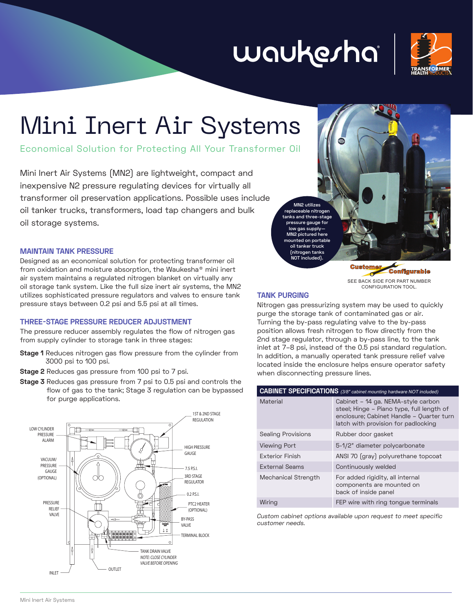# waukesha



## Mini Inert Air Systems

Economical Solution for Protecting All Your Transformer Oil

Mini Inert Air Systems (MN2) are lightweight, compact and inexpensive N2 pressure regulating devices for virtually all transformer oil preservation applications. Possible uses include oil tanker trucks, transformers, load tap changers and bulk oil storage systems.

#### **MAINTAIN TANK PRESSURE**

Designed as an economical solution for protecting transformer oil from oxidation and moisture absorption, the Waukesha® mini inert air system maintains a regulated nitrogen blanket on virtually any oil storage tank system. Like the full size inert air systems, the MN2 utilizes sophisticated pressure regulators and valves to ensure tank pressure stays between 0.2 psi and 5.5 psi at all times.

#### **THREE-STAGE PRESSURE REDUCER ADJUSTMENT**

The pressure reducer assembly regulates the flow of nitrogen gas from supply cylinder to storage tank in three stages:

- **Stage 1** Reduces nitrogen gas flow pressure from the cylinder from 3000 psi to 100 psi.
- **Stage 2** Reduces gas pressure from 100 psi to 7 psi.
- **Stage 3** Reduces gas pressure from 7 psi to 0.5 psi and controls the flow of gas to the tank; Stage 3 regulation can be bypassed for purge applications.





C SEE BACK SIDE FOR PART NUMBER CONFIGURATION TOOL.

#### **TANK PURGING**

Nitrogen gas pressurizing system may be used to quickly purge the storage tank of contaminated gas or air. Turning the by-pass regulating valve to the by-pass position allows fresh nitrogen to flow directly from the 2nd stage regulator, through a by-pass line, to the tank inlet at 7–8 psi, instead of the 0.5 psi standard regulation. In addition, a manually operated tank pressure relief valve located inside the enclosure helps ensure operator safety when disconnecting pressure lines.

| <b>CABINET SPECIFICATIONS</b> (3/8" cabinet mounting hardware NOT included) |                                                                                                                                                                    |
|-----------------------------------------------------------------------------|--------------------------------------------------------------------------------------------------------------------------------------------------------------------|
| <b>Material</b>                                                             | Cabinet - 14 ga. NEMA-style carbon<br>steel; Hinge – Piano type, full length of<br>enclosure; Cabinet Handle - Quarter turn<br>latch with provision for padlocking |
| <b>Sealing Provisions</b>                                                   | Rubber door gasket                                                                                                                                                 |
| Viewing Port                                                                | 5-1/2" diameter polycarbonate                                                                                                                                      |
| Exterior Finish                                                             | ANSI 70 (gray) polyurethane topcoat                                                                                                                                |
| External Seams                                                              | Continuously welded                                                                                                                                                |
| Mechanical Strength                                                         | For added rigidity, all internal<br>components are mounted on<br>back of inside panel                                                                              |
| Wiring                                                                      | FEP wire with ring tongue terminals                                                                                                                                |

Custom cabinet options available upon request to meet specific customer needs.